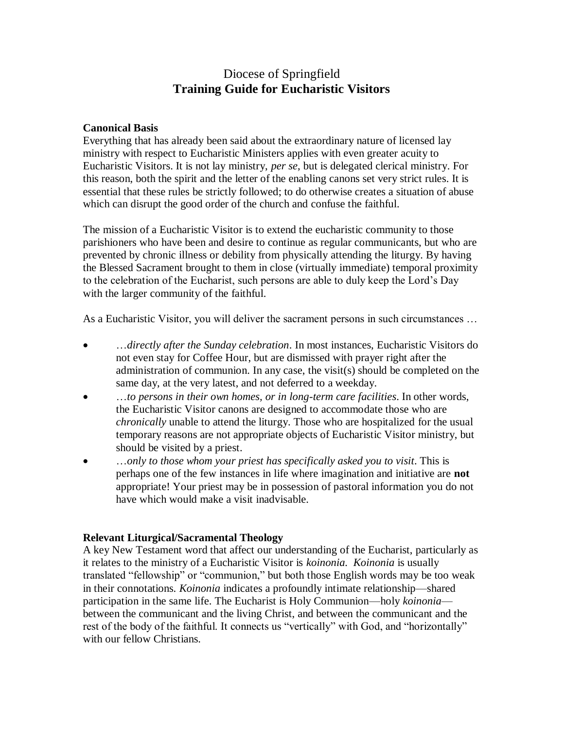# Diocese of Springfield **Training Guide for Eucharistic Visitors**

### **Canonical Basis**

Everything that has already been said about the extraordinary nature of licensed lay ministry with respect to Eucharistic Ministers applies with even greater acuity to Eucharistic Visitors. It is not lay ministry, *per se*, but is delegated clerical ministry. For this reason, both the spirit and the letter of the enabling canons set very strict rules. It is essential that these rules be strictly followed; to do otherwise creates a situation of abuse which can disrupt the good order of the church and confuse the faithful.

The mission of a Eucharistic Visitor is to extend the eucharistic community to those parishioners who have been and desire to continue as regular communicants, but who are prevented by chronic illness or debility from physically attending the liturgy. By having the Blessed Sacrament brought to them in close (virtually immediate) temporal proximity to the celebration of the Eucharist, such persons are able to duly keep the Lord's Day with the larger community of the faithful.

As a Eucharistic Visitor, you will deliver the sacrament persons in such circumstances …

- …*directly after the Sunday celebration*. In most instances, Eucharistic Visitors do not even stay for Coffee Hour, but are dismissed with prayer right after the administration of communion. In any case, the visit(s) should be completed on the same day, at the very latest, and not deferred to a weekday.
- …*to persons in their own homes, or in long-term care facilities*. In other words, the Eucharistic Visitor canons are designed to accommodate those who are *chronically* unable to attend the liturgy. Those who are hospitalized for the usual temporary reasons are not appropriate objects of Eucharistic Visitor ministry, but should be visited by a priest.
- …*only to those whom your priest has specifically asked you to visit*. This is perhaps one of the few instances in life where imagination and initiative are **not** appropriate! Your priest may be in possession of pastoral information you do not have which would make a visit inadvisable.

# **Relevant Liturgical/Sacramental Theology**

A key New Testament word that affect our understanding of the Eucharist, particularly as it relates to the ministry of a Eucharistic Visitor is *koinonia. Koinonia* is usually translated "fellowship" or "communion," but both those English words may be too weak in their connotations. *Koinonia* indicates a profoundly intimate relationship—shared participation in the same life. The Eucharist is Holy Communion—holy *koinonia* between the communicant and the living Christ, and between the communicant and the rest of the body of the faithful. It connects us "vertically" with God, and "horizontally" with our fellow Christians.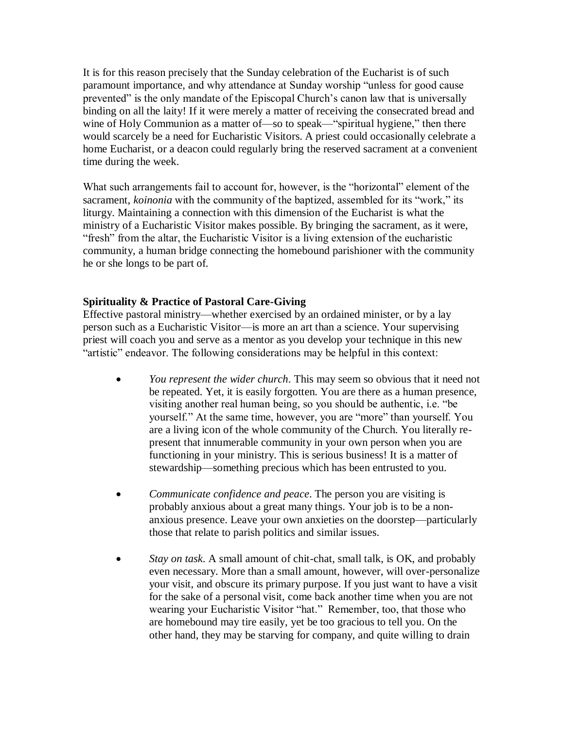It is for this reason precisely that the Sunday celebration of the Eucharist is of such paramount importance, and why attendance at Sunday worship "unless for good cause prevented" is the only mandate of the Episcopal Church's canon law that is universally binding on all the laity! If it were merely a matter of receiving the consecrated bread and wine of Holy Communion as a matter of—so to speak—"spiritual hygiene," then there would scarcely be a need for Eucharistic Visitors. A priest could occasionally celebrate a home Eucharist, or a deacon could regularly bring the reserved sacrament at a convenient time during the week.

What such arrangements fail to account for, however, is the "horizontal" element of the sacrament, *koinonia* with the community of the baptized, assembled for its "work," its liturgy. Maintaining a connection with this dimension of the Eucharist is what the ministry of a Eucharistic Visitor makes possible. By bringing the sacrament, as it were, "fresh" from the altar, the Eucharistic Visitor is a living extension of the eucharistic community, a human bridge connecting the homebound parishioner with the community he or she longs to be part of.

### **Spirituality & Practice of Pastoral Care-Giving**

Effective pastoral ministry—whether exercised by an ordained minister, or by a lay person such as a Eucharistic Visitor—is more an art than a science. Your supervising priest will coach you and serve as a mentor as you develop your technique in this new "artistic" endeavor. The following considerations may be helpful in this context:

- *You represent the wider church*. This may seem so obvious that it need not be repeated. Yet, it is easily forgotten. You are there as a human presence, visiting another real human being, so you should be authentic, i.e. "be yourself." At the same time, however, you are "more" than yourself. You are a living icon of the whole community of the Church. You literally represent that innumerable community in your own person when you are functioning in your ministry. This is serious business! It is a matter of stewardship—something precious which has been entrusted to you.
- *Communicate confidence and peace*. The person you are visiting is probably anxious about a great many things. Your job is to be a nonanxious presence. Leave your own anxieties on the doorstep—particularly those that relate to parish politics and similar issues.
- *Stay on task*. A small amount of chit-chat, small talk, is OK, and probably even necessary. More than a small amount, however, will over-personalize your visit, and obscure its primary purpose. If you just want to have a visit for the sake of a personal visit, come back another time when you are not wearing your Eucharistic Visitor "hat." Remember, too, that those who are homebound may tire easily, yet be too gracious to tell you. On the other hand, they may be starving for company, and quite willing to drain